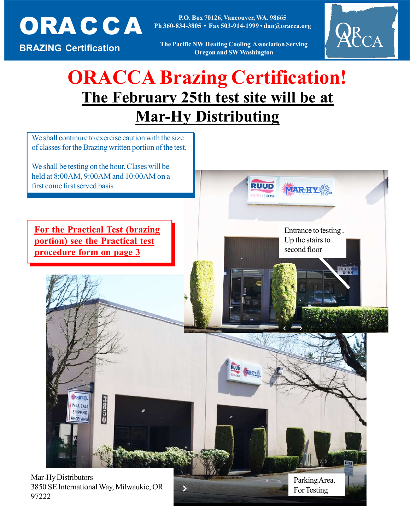

P.O. Box 70120, Vancouver, WA. 20003 Ph 360-834-3805 • Fax 503-914-1999 • dan@oracca.org P.O. Box 70126, Vancouver, WA. 98665

BRAZING Certification

The Pacific NW Heating Cooling Association Serving Oregon and SW Washington Oregon and SW Washington



# The February 25th test site will be at **Mar-Hy Distributing** ORACCA Brazing Certification!



97222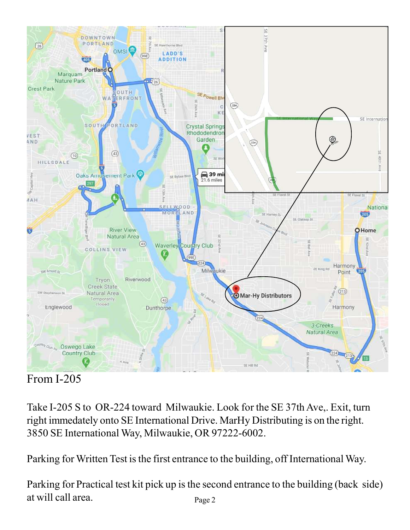

## From I-205

Take I-205 S to OR-224 toward Milwaukie. Look for the SE 37th Ave,. Exit, turn right immedately onto SE International Drive. MarHy Distributing is on the right. 3850 SE International Way, Milwaukie, OR 97222-6002.

Parking for Written Test is the first entrance to the building, off International Way.

Parking for Practical test kit pick up is the second entrance to the building (back side) at will call area. Page 2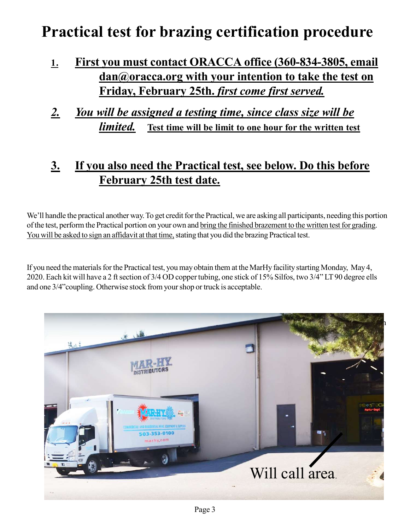## Practical test for brazing certification procedure

- 1. First you must contact ORACCA office (360-834-3805, email dan@oracca.org with your intention to take the test on Friday, February 25th. first come first served.
- 2. You will be assigned a testing time, since class size will be *limited.* Test time will be limit to one hour for the written test

### 3. If you also need the Practical test, see below. Do this before February 25th test date.

We'll handle the practical another way. To get credit for the Practical, we are asking all participants, needing this portion of the test, perform the Practical portion on your own and bring the finished brazement to the written test for grading. You will be asked to sign an affidavit at that time, stating that you did the brazing Practical test.

If you need the materials for the Practical test, you may obtain them at the MarHy facility starting Monday, May 4, 2020. Each kit will have a 2 ft section of 3/4 OD copper tubing, one stick of 15% Silfos, two 3/4" LT 90 degree ells and one 3/4"coupling. Otherwise stock from your shop or truck is acceptable.

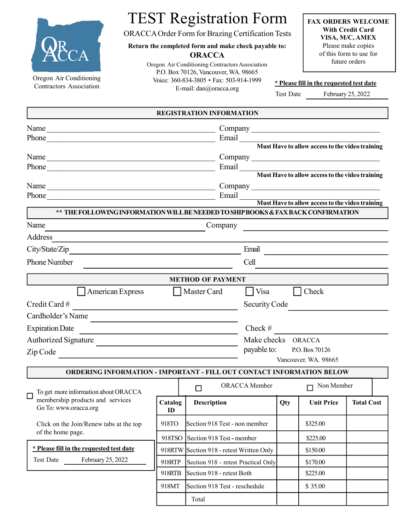

TEST Registration Form

ORACCA Order Form for Brazing Certification Tests

Return the completed form and make check payable to: **ORACCA** 

> Oregon Air Conditioning Contractors Association P.O. Box 70126, Vancouver, WA. 98665 Voice: 360-834-3805 • Fax: 503-914-1999 E-mail: dan@oracca.org

FAX ORDERS WELCOME With Credit Card VISA, M/C, AMEX Please make copies of this form to use for future orders

|  |  |  | * Please fill in the requested test date |  |
|--|--|--|------------------------------------------|--|
|  |  |  |                                          |  |

Test Date February 25, 2022

|                                                                                                                                                                                                                                      |                                                       | <b>REGISTRATION INFORMATION</b>                       |               |          |                      |                   |  |  |
|--------------------------------------------------------------------------------------------------------------------------------------------------------------------------------------------------------------------------------------|-------------------------------------------------------|-------------------------------------------------------|---------------|----------|----------------------|-------------------|--|--|
| Name<br><u> 1989 - Johann John Stein, marwolaeth a bhaile an t-Amhain an t-Amhain an t-Amhain an t-Amhain an t-Amhain an </u>                                                                                                        |                                                       |                                                       |               |          |                      |                   |  |  |
| Phone <u>contains and the second contains and the second contains and the second contains and the second contains and the second contains and contains a second contains and contains a second contains a second contains a seco</u> |                                                       |                                                       |               |          |                      |                   |  |  |
|                                                                                                                                                                                                                                      |                                                       |                                                       |               |          |                      |                   |  |  |
|                                                                                                                                                                                                                                      |                                                       |                                                       |               |          |                      |                   |  |  |
| Phone<br><u> 1989 - Johann Stein, marwolaethau a bhann an t-Amhain an t-Amhain an t-Amhain an t-Amhain an t-Amhain an t-A</u>                                                                                                        | Email Must Have to allow access to the video training |                                                       |               |          |                      |                   |  |  |
|                                                                                                                                                                                                                                      |                                                       |                                                       |               |          |                      |                   |  |  |
|                                                                                                                                                                                                                                      |                                                       | Email Must Have to allow access to the video training |               |          |                      |                   |  |  |
|                                                                                                                                                                                                                                      |                                                       |                                                       |               |          |                      |                   |  |  |
| ** THE FOLLOWING INFORMATION WILL BE NEEDED TO SHIP BOOKS & FAX BACK CONFIRMATION                                                                                                                                                    |                                                       |                                                       |               |          |                      |                   |  |  |
| Name                                                                                                                                                                                                                                 |                                                       | Company                                               |               |          |                      |                   |  |  |
| Address                                                                                                                                                                                                                              |                                                       |                                                       |               |          |                      |                   |  |  |
| City/State/Zip                                                                                                                                                                                                                       |                                                       | Email                                                 |               |          |                      |                   |  |  |
| Phone Number                                                                                                                                                                                                                         |                                                       | Cell                                                  |               |          |                      |                   |  |  |
|                                                                                                                                                                                                                                      |                                                       | <b>METHOD OF PAYMENT</b>                              |               |          |                      |                   |  |  |
| American Express<br>    Master Card<br>$\blacksquare$ Visa<br>Check                                                                                                                                                                  |                                                       |                                                       |               |          |                      |                   |  |  |
| Credit Card#                                                                                                                                                                                                                         | Security Code                                         |                                                       |               |          |                      |                   |  |  |
| Cardholder's Name                                                                                                                                                                                                                    |                                                       |                                                       |               |          |                      |                   |  |  |
| <b>Expiration Date</b>                                                                                                                                                                                                               |                                                       | Check #                                               |               |          |                      |                   |  |  |
| <b>Authorized Signature</b>                                                                                                                                                                                                          |                                                       | Make checks ORACCA                                    |               |          |                      |                   |  |  |
| Zip Code                                                                                                                                                                                                                             |                                                       | payable to: P.O. Box 70126                            |               |          |                      |                   |  |  |
|                                                                                                                                                                                                                                      |                                                       |                                                       |               |          | Vancouver. WA. 98665 |                   |  |  |
| <b>ORDERING INFORMATION - IMPORTANT - FILL OUT CONTACT INFORMATION BELOW</b>                                                                                                                                                         |                                                       |                                                       |               |          |                      |                   |  |  |
| To get more information about ORACCA                                                                                                                                                                                                 |                                                       | $\Box$                                                | ORACCA Member |          | Non Member<br>$\Box$ |                   |  |  |
| membership products and services<br>Go To: www.oracca.org                                                                                                                                                                            | Catalog<br>ID                                         | Description                                           |               | Qty      | <b>Unit Price</b>    | <b>Total Cost</b> |  |  |
| Click on the Join/Renew tabs at the top                                                                                                                                                                                              | 918TO                                                 | Section 918 Test - non member                         |               |          | \$325.00             |                   |  |  |
| of the home page.                                                                                                                                                                                                                    |                                                       | 918TSO Section 918 Test - member                      |               |          | \$225.00             |                   |  |  |
| * Please fill in the requested test date                                                                                                                                                                                             |                                                       | 918RTW Section 918 - retest Written Only              |               |          | \$150.00             |                   |  |  |
| February 25, 2022<br><b>Test Date</b>                                                                                                                                                                                                | 918RTP                                                | Section 918 - retest Practical Only                   |               |          | \$170.00             |                   |  |  |
|                                                                                                                                                                                                                                      | 918RTB                                                | Section 918 - retest Both                             |               | \$225.00 |                      |                   |  |  |
|                                                                                                                                                                                                                                      | 918MT                                                 | Section 918 Test - reschedule                         |               | \$35.00  |                      |                   |  |  |
|                                                                                                                                                                                                                                      |                                                       | Total                                                 |               |          |                      |                   |  |  |
|                                                                                                                                                                                                                                      |                                                       |                                                       |               |          |                      |                   |  |  |

Oregon Air Conditioning Contractors Association